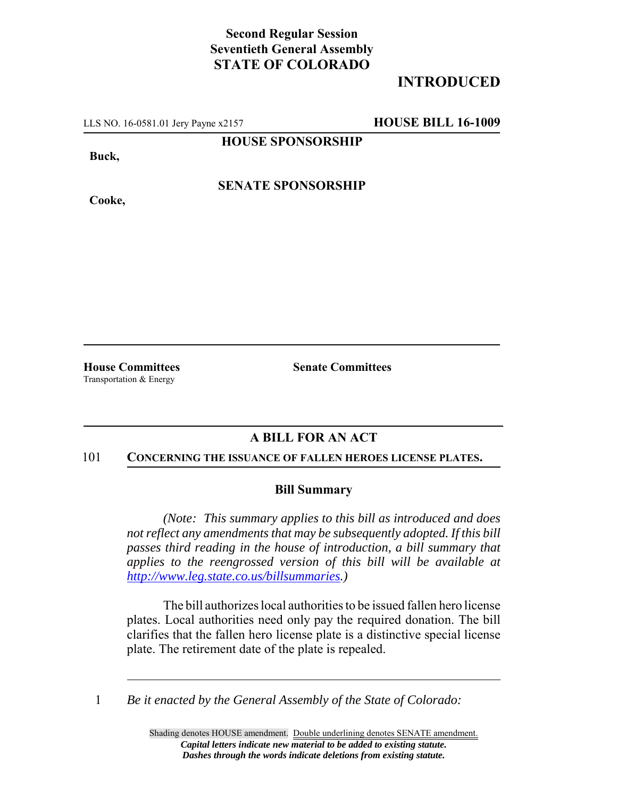## **Second Regular Session Seventieth General Assembly STATE OF COLORADO**

# **INTRODUCED**

LLS NO. 16-0581.01 Jery Payne x2157 **HOUSE BILL 16-1009**

**HOUSE SPONSORSHIP**

**Buck,**

**Cooke,**

**SENATE SPONSORSHIP**

Transportation & Energy

**House Committees Senate Committees**

### **A BILL FOR AN ACT**

#### 101 **CONCERNING THE ISSUANCE OF FALLEN HEROES LICENSE PLATES.**

### **Bill Summary**

*(Note: This summary applies to this bill as introduced and does not reflect any amendments that may be subsequently adopted. If this bill passes third reading in the house of introduction, a bill summary that applies to the reengrossed version of this bill will be available at http://www.leg.state.co.us/billsummaries.)*

The bill authorizes local authorities to be issued fallen hero license plates. Local authorities need only pay the required donation. The bill clarifies that the fallen hero license plate is a distinctive special license plate. The retirement date of the plate is repealed.

1 *Be it enacted by the General Assembly of the State of Colorado:*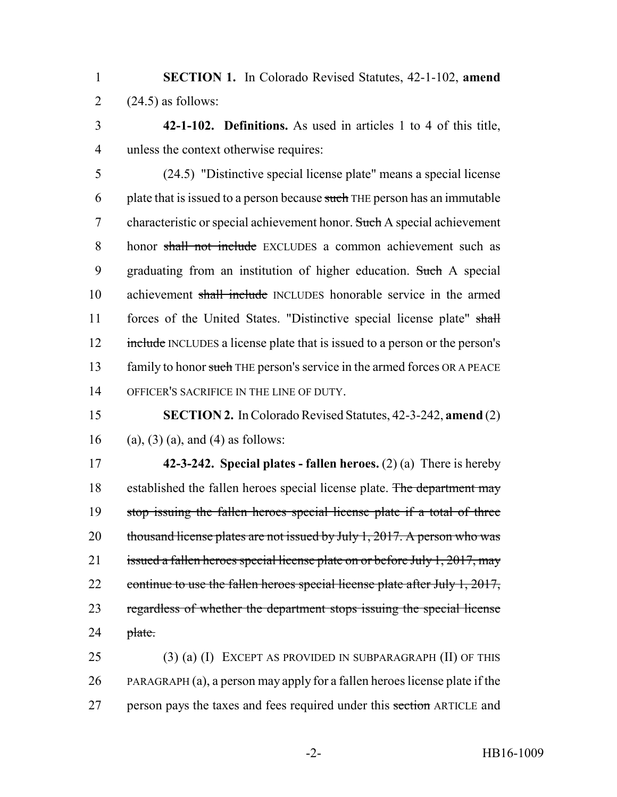1 **SECTION 1.** In Colorado Revised Statutes, 42-1-102, **amend** 2  $(24.5)$  as follows:

3 **42-1-102. Definitions.** As used in articles 1 to 4 of this title, 4 unless the context otherwise requires:

5 (24.5) "Distinctive special license plate" means a special license 6 plate that is issued to a person because such THE person has an immutable 7 characteristic or special achievement honor. Such A special achievement 8 honor shall not include EXCLUDES a common achievement such as 9 graduating from an institution of higher education. Such A special 10 achievement shall include INCLUDES honorable service in the armed 11 forces of the United States. "Distinctive special license plate" shall 12 include INCLUDES a license plate that is issued to a person or the person's 13 family to honor such THE person's service in the armed forces OR A PEACE 14 OFFICER'S SACRIFICE IN THE LINE OF DUTY.

15 **SECTION 2.** In Colorado Revised Statutes, 42-3-242, **amend** (2) 16 (a), (3) (a), and (4) as follows:

17 **42-3-242. Special plates - fallen heroes.** (2) (a) There is hereby 18 established the fallen heroes special license plate. The department may 19 stop issuing the fallen heroes special license plate if a total of three 20 thousand license plates are not issued by July 1, 2017. A person who was 21 issued a fallen heroes special license plate on or before July 1, 2017, may 22 continue to use the fallen heroes special license plate after July 1, 2017, 23 regardless of whether the department stops issuing the special license  $24$  plate.

25 (3) (a) (I) EXCEPT AS PROVIDED IN SUBPARAGRAPH (II) OF THIS 26 PARAGRAPH (a), a person may apply for a fallen heroes license plate if the 27 person pays the taxes and fees required under this section ARTICLE and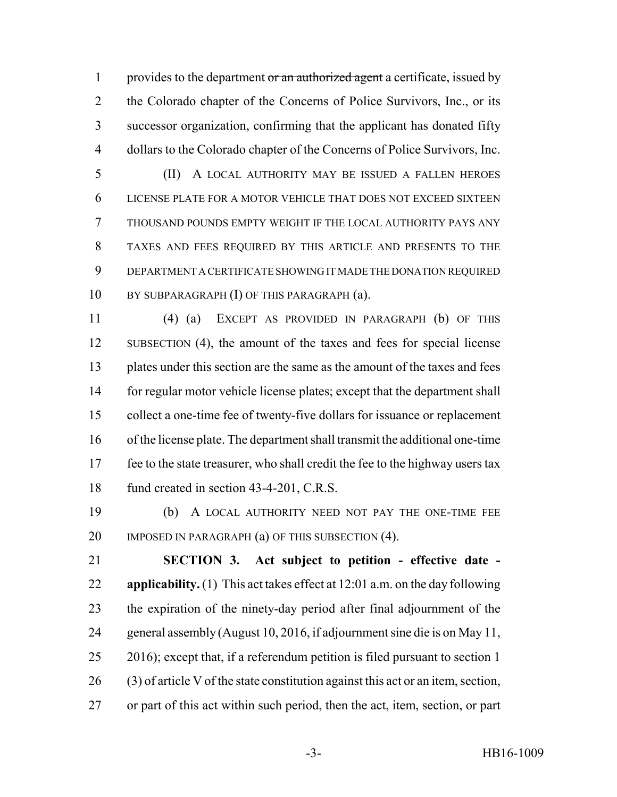1 provides to the department or an authorized agent a certificate, issued by 2 the Colorado chapter of the Concerns of Police Survivors, Inc., or its successor organization, confirming that the applicant has donated fifty dollars to the Colorado chapter of the Concerns of Police Survivors, Inc.

 (II) A LOCAL AUTHORITY MAY BE ISSUED A FALLEN HEROES LICENSE PLATE FOR A MOTOR VEHICLE THAT DOES NOT EXCEED SIXTEEN THOUSAND POUNDS EMPTY WEIGHT IF THE LOCAL AUTHORITY PAYS ANY TAXES AND FEES REQUIRED BY THIS ARTICLE AND PRESENTS TO THE DEPARTMENT A CERTIFICATE SHOWING IT MADE THE DONATION REQUIRED 10 BY SUBPARAGRAPH (I) OF THIS PARAGRAPH (a).

 (4) (a) EXCEPT AS PROVIDED IN PARAGRAPH (b) OF THIS SUBSECTION (4), the amount of the taxes and fees for special license plates under this section are the same as the amount of the taxes and fees for regular motor vehicle license plates; except that the department shall collect a one-time fee of twenty-five dollars for issuance or replacement of the license plate. The department shall transmit the additional one-time fee to the state treasurer, who shall credit the fee to the highway users tax 18 fund created in section 43-4-201, C.R.S.

 (b) A LOCAL AUTHORITY NEED NOT PAY THE ONE-TIME FEE 20 IMPOSED IN PARAGRAPH (a) OF THIS SUBSECTION (4).

 **SECTION 3. Act subject to petition - effective date - applicability.** (1) This act takes effect at 12:01 a.m. on the day following the expiration of the ninety-day period after final adjournment of the general assembly (August 10, 2016, if adjournment sine die is on May 11, 2016); except that, if a referendum petition is filed pursuant to section 1 (3) of article V of the state constitution against this act or an item, section, or part of this act within such period, then the act, item, section, or part